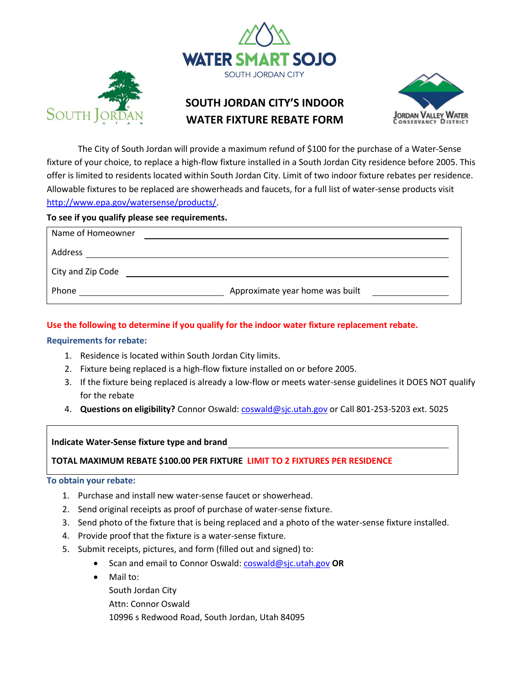



# **SOUTH JORDAN CITY'S INDOOR WATER FIXTURE REBATE FORM**



The City of South Jordan will provide a maximum refund of \$100 for the purchase of a Water-Sense fixture of your choice, to replace a high-flow fixture installed in a South Jordan City residence before 2005. This offer is limited to residents located within South Jordan City. Limit of two indoor fixture rebates per residence. Allowable fixtures to be replaced are showerheads and faucets, for a full list of water-sense products visit [http://www.epa.gov/watersense/products/.](http://www.epa.gov/watersense/products/)

## **To see if you qualify please see requirements.**

| Name of Homeowner |                                 |  |
|-------------------|---------------------------------|--|
| Address           |                                 |  |
| City and Zip Code |                                 |  |
| Phone             | Approximate year home was built |  |

# **Use the following to determine if you qualify for the indoor water fixture replacement rebate.**

## **Requirements for rebate:**

- 1. Residence is located within South Jordan City limits.
- 2. Fixture being replaced is a high-flow fixture installed on or before 2005.
- 3. If the fixture being replaced is already a low-flow or meets water-sense guidelines it DOES NOT qualify for the rebate
- 4. **Questions on eligibility?** Connor Oswald: [coswald@sjc.utah.gov](mailto:coswald@sjc.utah.gov) or Call 801-253-5203 ext. 5025

# **Indicate Water-Sense fixture type and brand**

**TOTAL MAXIMUM REBATE \$100.00 PER FIXTURE LIMIT TO 2 FIXTURES PER RESIDENCE**

### **To obtain your rebate:**

- 1. Purchase and install new water-sense faucet or showerhead.
- 2. Send original receipts as proof of purchase of water-sense fixture.
- 3. Send photo of the fixture that is being replaced and a photo of the water-sense fixture installed.
- 4. Provide proof that the fixture is a water-sense fixture.
- 5. Submit receipts, pictures, and form (filled out and signed) to:
	- Scan and email to Connor Oswald[: coswald@sjc.utah.gov](mailto:coswald@sjc.utah.gov) **OR**
	- Mail to:
		- South Jordan City
		- Attn: Connor Oswald
		- 10996 s Redwood Road, South Jordan, Utah 84095